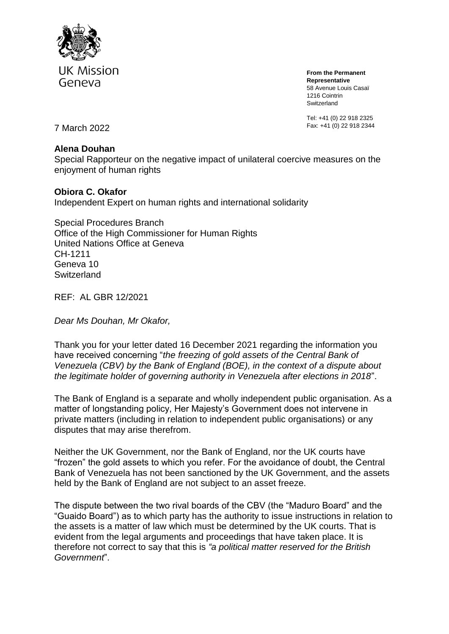

**From the Permanent Representative** 58 Avenue Louis Casaï 1216 Cointrin Switzerland

Tel: +41 (0) 22 918 2325 Fax: +41 (0) 22 918 2344 7 March 2022

## **Alena Douhan**

Special Rapporteur on the negative impact of unilateral coercive measures on the enjoyment of human rights

## **Obiora C. Okafor**

Independent Expert on human rights and international solidarity

Special Procedures Branch Office of the High Commissioner for Human Rights United Nations Office at Geneva CH-1211 Geneva 10 **Switzerland** 

REF: AL GBR 12/2021

*Dear Ms Douhan, Mr Okafor,*

Thank you for your letter dated 16 December 2021 regarding the information you have received concerning "*the freezing of gold assets of the Central Bank of Venezuela (CBV) by the Bank of England (BOE), in the context of a dispute about the legitimate holder of governing authority in Venezuela after elections in 2018*".

The Bank of England is a separate and wholly independent public organisation. As a matter of longstanding policy, Her Majesty's Government does not intervene in private matters (including in relation to independent public organisations) or any disputes that may arise therefrom.

Neither the UK Government, nor the Bank of England, nor the UK courts have "frozen" the gold assets to which you refer. For the avoidance of doubt, the Central Bank of Venezuela has not been sanctioned by the UK Government, and the assets held by the Bank of England are not subject to an asset freeze.

The dispute between the two rival boards of the CBV (the "Maduro Board" and the "Guaido Board") as to which party has the authority to issue instructions in relation to the assets is a matter of law which must be determined by the UK courts. That is evident from the legal arguments and proceedings that have taken place. It is therefore not correct to say that this is *"a political matter reserved for the British Government*".